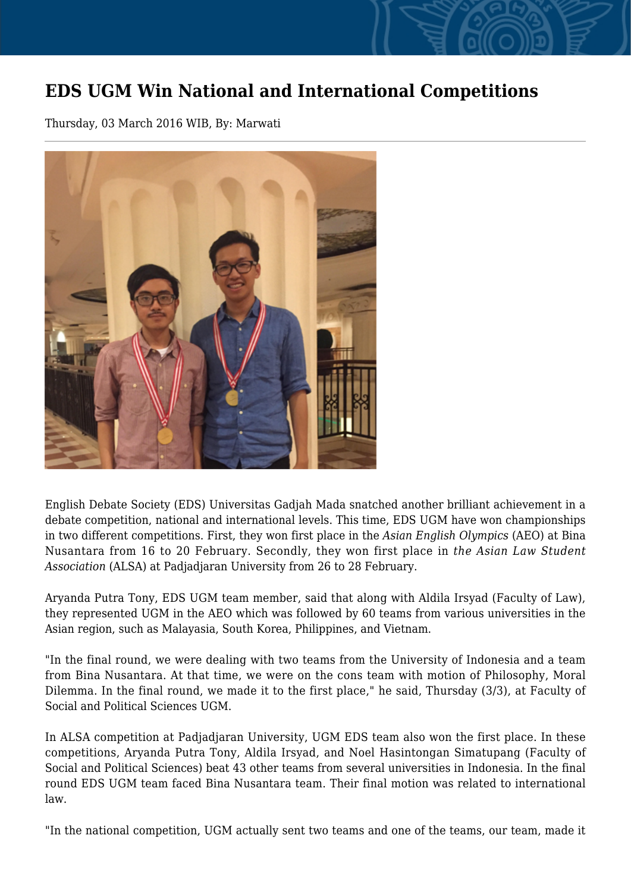## **EDS UGM Win National and International Competitions**

Thursday, 03 March 2016 WIB, By: Marwati



English Debate Society (EDS) Universitas Gadjah Mada snatched another brilliant achievement in a debate competition, national and international levels. This time, EDS UGM have won championships in two different competitions. First, they won first place in the *Asian English Olympics* (AEO) at Bina Nusantara from 16 to 20 February. Secondly, they won first place in *the Asian Law Student Association* (ALSA) at Padjadjaran University from 26 to 28 February.

Aryanda Putra Tony, EDS UGM team member, said that along with Aldila Irsyad (Faculty of Law), they represented UGM in the AEO which was followed by 60 teams from various universities in the Asian region, such as Malayasia, South Korea, Philippines, and Vietnam.

"In the final round, we were dealing with two teams from the University of Indonesia and a team from Bina Nusantara. At that time, we were on the cons team with motion of Philosophy, Moral Dilemma. In the final round, we made it to the first place," he said, Thursday (3/3), at Faculty of Social and Political Sciences UGM.

In ALSA competition at Padjadjaran University, UGM EDS team also won the first place. In these competitions, Aryanda Putra Tony, Aldila Irsyad, and Noel Hasintongan Simatupang (Faculty of Social and Political Sciences) beat 43 other teams from several universities in Indonesia. In the final round EDS UGM team faced Bina Nusantara team. Their final motion was related to international law.

"In the national competition, UGM actually sent two teams and one of the teams, our team, made it